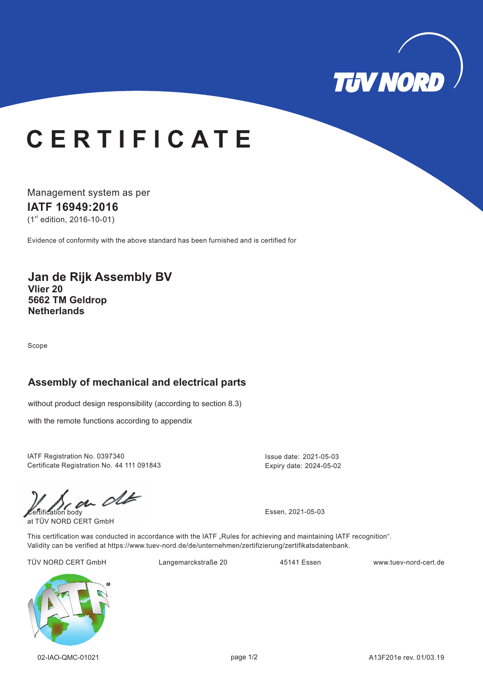

# **C E R T I F I C A T E**

Management system as per **IATF 16949: 16 20**  $(1<sup>st</sup>$  edition, 2016-10-01)

Evidence of conformity with the above standard has been furnished and is certified for

### **Jan de Rijk Assembly BV Vlier 20 Netherlands 5662 TM Geldrop**

Scope

## **Assembly of mechanical and electrical parts**

without product design responsibility (according to section 8.3)

with the remote functions according to appendix

IATF Registration No. 0397340 Certificate Registration No. 44 111 091843 Issue date: 2021-05-03 Expiry date: 2024-05-02

 $\frac{1}{\frac{1}{\frac{1}{\frac{1}{\sqrt{1-\frac{1}{\sqrt{1-\frac{1}{\sqrt{1-\frac{1}{\sqrt{1-\frac{1}{\sqrt{1-\frac{1}{\sqrt{1-\frac{1}{\sqrt{1-\frac{1}{\sqrt{1-\frac{1}{\sqrt{1-\frac{1}{\sqrt{1-\frac{1}{\sqrt{1-\frac{1}{\sqrt{1-\frac{1}{\sqrt{1-\frac{1}{\sqrt{1-\frac{1}{\sqrt{1-\frac{1}{\sqrt{1-\frac{1}{\sqrt{1-\frac{1}{\sqrt{1-\frac{1}{\sqrt{1-\frac{1}{\sqrt{1-\frac{1}{\sqrt{1-\frac{1}{\sqrt{1-\frac{1}{\sqrt$ 

at TÜV NORD CERT GmbH

This certification was conducted in accordance with the IATF "Rules for achieving and maintaining IATF recognition". Validity can be verified at https://www.tuev-nord.de/de/unternehmen/zertifizierung/zertifikatsdatenbank.

TÜV NORD CERT GmbH Langemarckstraße 20 45141 Essen www.tuev-nord-cert.de